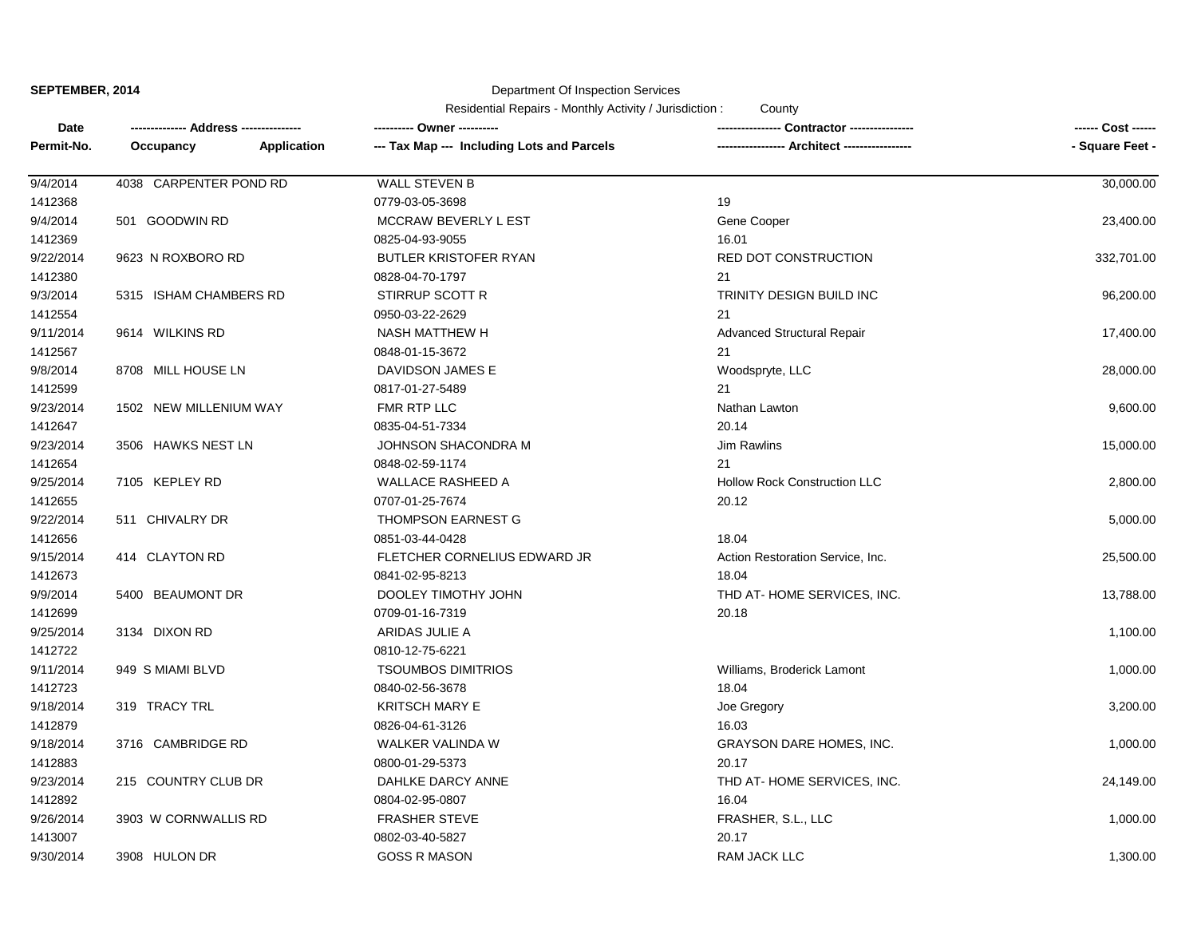**SEPTEMBER, 2014**

Department Of Inspection Services

Residential Repairs - Monthly Activity / Jurisdiction : County

| Date       |                        |             |                                            |                                     | ------ Cost ------ |
|------------|------------------------|-------------|--------------------------------------------|-------------------------------------|--------------------|
| Permit-No. | Occupancy              | Application | --- Tax Map --- Including Lots and Parcels |                                     | - Square Feet -    |
| 9/4/2014   | 4038 CARPENTER POND RD |             | <b>WALL STEVEN B</b>                       |                                     | 30,000.00          |
| 1412368    |                        |             | 0779-03-05-3698                            | 19                                  |                    |
| 9/4/2014   | 501 GOODWIN RD         |             | MCCRAW BEVERLY L EST                       | Gene Cooper                         | 23,400.00          |
| 1412369    |                        |             | 0825-04-93-9055                            | 16.01                               |                    |
| 9/22/2014  | 9623 N ROXBORO RD      |             | BUTLER KRISTOFER RYAN                      | <b>RED DOT CONSTRUCTION</b>         | 332,701.00         |
| 1412380    |                        |             | 0828-04-70-1797                            | 21                                  |                    |
| 9/3/2014   | 5315 ISHAM CHAMBERS RD |             | STIRRUP SCOTT R                            | TRINITY DESIGN BUILD INC            | 96,200.00          |
| 1412554    |                        |             | 0950-03-22-2629                            | 21                                  |                    |
| 9/11/2014  | 9614 WILKINS RD        |             | NASH MATTHEW H                             | <b>Advanced Structural Repair</b>   | 17,400.00          |
| 1412567    |                        |             | 0848-01-15-3672                            | 21                                  |                    |
| 9/8/2014   | 8708 MILL HOUSE LN     |             | DAVIDSON JAMES E                           | Woodspryte, LLC                     | 28,000.00          |
| 1412599    |                        |             | 0817-01-27-5489                            | 21                                  |                    |
| 9/23/2014  | 1502 NEW MILLENIUM WAY |             | FMR RTP LLC                                | Nathan Lawton                       | 9,600.00           |
| 1412647    |                        |             | 0835-04-51-7334                            | 20.14                               |                    |
| 9/23/2014  | 3506 HAWKS NEST LN     |             | JOHNSON SHACONDRA M                        | <b>Jim Rawlins</b>                  | 15,000.00          |
| 1412654    |                        |             | 0848-02-59-1174                            | 21                                  |                    |
| 9/25/2014  | 7105 KEPLEY RD         |             | <b>WALLACE RASHEED A</b>                   | <b>Hollow Rock Construction LLC</b> | 2,800.00           |
| 1412655    |                        |             | 0707-01-25-7674                            | 20.12                               |                    |
| 9/22/2014  | 511 CHIVALRY DR        |             | <b>THOMPSON EARNEST G</b>                  |                                     | 5,000.00           |
| 1412656    |                        |             | 0851-03-44-0428                            | 18.04                               |                    |
| 9/15/2014  | 414 CLAYTON RD         |             | FLETCHER CORNELIUS EDWARD JR               | Action Restoration Service, Inc.    | 25,500.00          |
| 1412673    |                        |             | 0841-02-95-8213                            | 18.04                               |                    |
| 9/9/2014   | 5400 BEAUMONT DR       |             | DOOLEY TIMOTHY JOHN                        | THD AT-HOME SERVICES, INC.          | 13,788.00          |
| 1412699    |                        |             | 0709-01-16-7319                            | 20.18                               |                    |
| 9/25/2014  | 3134 DIXON RD          |             | ARIDAS JULIE A                             |                                     | 1,100.00           |
| 1412722    |                        |             | 0810-12-75-6221                            |                                     |                    |
| 9/11/2014  | 949 S MIAMI BLVD       |             | <b>TSOUMBOS DIMITRIOS</b>                  | Williams, Broderick Lamont          | 1,000.00           |
| 1412723    |                        |             | 0840-02-56-3678                            | 18.04                               |                    |
| 9/18/2014  | 319 TRACY TRL          |             | KRITSCH MARY E                             | Joe Gregory                         | 3,200.00           |
| 1412879    |                        |             | 0826-04-61-3126                            | 16.03                               |                    |
| 9/18/2014  | 3716 CAMBRIDGE RD      |             | WALKER VALINDA W                           | <b>GRAYSON DARE HOMES, INC.</b>     | 1,000.00           |
| 1412883    |                        |             | 0800-01-29-5373                            | 20.17                               |                    |
| 9/23/2014  | 215 COUNTRY CLUB DR    |             | DAHLKE DARCY ANNE                          | THD AT-HOME SERVICES, INC.          | 24,149.00          |
| 1412892    |                        |             | 0804-02-95-0807                            | 16.04                               |                    |
| 9/26/2014  | 3903 W CORNWALLIS RD   |             | <b>FRASHER STEVE</b>                       | FRASHER, S.L., LLC                  | 1,000.00           |
| 1413007    |                        |             | 0802-03-40-5827                            | 20.17                               |                    |
| 9/30/2014  | 3908 HULON DR          |             | <b>GOSS R MASON</b>                        | <b>RAM JACK LLC</b>                 | 1,300.00           |